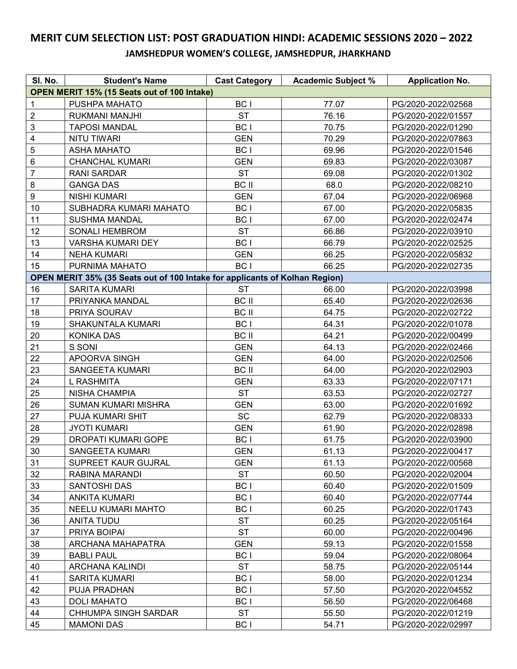## **MERIT CUM SELECTION LIST: POST GRADUATION HINDI: ACADEMIC SESSIONS 2020 – 2022 JAMSHEDPUR WOMEN'S COLLEGE, JAMSHEDPUR, JHARKHAND**

| SI. No.                                                                     | <b>Student's Name</b>       | <b>Cast Category</b> | <b>Academic Subject %</b> | <b>Application No.</b> |  |  |  |
|-----------------------------------------------------------------------------|-----------------------------|----------------------|---------------------------|------------------------|--|--|--|
| OPEN MERIT 15% (15 Seats out of 100 Intake)                                 |                             |                      |                           |                        |  |  |  |
| 1                                                                           | PUSHPA MAHATO               | BC I                 | 77.07                     | PG/2020-2022/02568     |  |  |  |
| $\boldsymbol{2}$                                                            | RUKMANI MANJHI              | <b>ST</b>            | 76.16                     | PG/2020-2022/01557     |  |  |  |
| 3                                                                           | <b>TAPOSI MANDAL</b>        | BC I                 | 70.75                     | PG/2020-2022/01290     |  |  |  |
| $\overline{\mathbf{4}}$                                                     | <b>NITU TIWARI</b>          | <b>GEN</b>           | 70.29                     | PG/2020-2022/07863     |  |  |  |
| 5                                                                           | <b>ASHA MAHATO</b>          | BC I                 | 69.96                     | PG/2020-2022/01546     |  |  |  |
| 6                                                                           | <b>CHANCHAL KUMARI</b>      | <b>GEN</b>           | 69.83                     | PG/2020-2022/03087     |  |  |  |
| $\overline{7}$                                                              | <b>RANI SARDAR</b>          | <b>ST</b>            | 69.08                     | PG/2020-2022/01302     |  |  |  |
| 8                                                                           | <b>GANGA DAS</b>            | <b>BC II</b>         | 68.0                      | PG/2020-2022/08210     |  |  |  |
| 9                                                                           | <b>NISHI KUMARI</b>         | <b>GEN</b>           | 67.04                     | PG/2020-2022/06968     |  |  |  |
| 10                                                                          | SUBHADRA KUMARI MAHATO      | BC I                 | 67.00                     | PG/2020-2022/05835     |  |  |  |
| 11                                                                          | <b>SUSHMA MANDAL</b>        | BC I                 | 67.00                     | PG/2020-2022/02474     |  |  |  |
| 12                                                                          | <b>SONALI HEMBROM</b>       | <b>ST</b>            | 66.86                     | PG/2020-2022/03910     |  |  |  |
| 13                                                                          | <b>VARSHA KUMARI DEY</b>    | BC I                 | 66.79                     | PG/2020-2022/02525     |  |  |  |
| 14                                                                          | <b>NEHA KUMARI</b>          | <b>GEN</b>           | 66.25                     | PG/2020-2022/05832     |  |  |  |
| 15                                                                          | PURNIMA MAHATO              | BC I                 | 66.25                     | PG/2020-2022/02735     |  |  |  |
| OPEN MERIT 35% (35 Seats out of 100 Intake for applicants of Kolhan Region) |                             |                      |                           |                        |  |  |  |
| 16                                                                          | <b>SARITA KUMARI</b>        | <b>ST</b>            | 66.00                     | PG/2020-2022/03998     |  |  |  |
| 17                                                                          | PRIYANKA MANDAL             | <b>BC II</b>         | 65.40                     | PG/2020-2022/02636     |  |  |  |
| 18                                                                          | PRIYA SOURAV                | <b>BC II</b>         | 64.75                     | PG/2020-2022/02722     |  |  |  |
| 19                                                                          | <b>SHAKUNTALA KUMARI</b>    | BC I                 | 64.31                     | PG/2020-2022/01078     |  |  |  |
| 20                                                                          | <b>KONIKA DAS</b>           | <b>BC II</b>         | 64.21                     | PG/2020-2022/00499     |  |  |  |
| 21                                                                          | S SONI                      | <b>GEN</b>           | 64.13                     | PG/2020-2022/02466     |  |  |  |
| 22                                                                          | APOORVA SINGH               | <b>GEN</b>           | 64.00                     | PG/2020-2022/02506     |  |  |  |
| 23                                                                          | SANGEETA KUMARI             | <b>BC II</b>         | 64.00                     | PG/2020-2022/02903     |  |  |  |
| 24                                                                          | <b>L RASHMITA</b>           | <b>GEN</b>           | 63.33                     | PG/2020-2022/07171     |  |  |  |
| 25                                                                          | <b>NISHA CHAMPIA</b>        | <b>ST</b>            | 63.53                     | PG/2020-2022/02727     |  |  |  |
| 26                                                                          | <b>SUMAN KUMARI MISHRA</b>  | <b>GEN</b>           | 63.00                     | PG/2020-2022/01692     |  |  |  |
| 27                                                                          | PUJA KUMARI SHIT            | <b>SC</b>            | 62.79                     | PG/2020-2022/08333     |  |  |  |
| 28                                                                          | <b>JYOTI KUMARI</b>         | <b>GEN</b>           | 61.90                     | PG/2020-2022/02898     |  |  |  |
| 29                                                                          | DROPATI KUMARI GOPE         | BC I                 | 61.75                     | PG/2020-2022/03900     |  |  |  |
| $30\,$                                                                      | SANGEETA KUMARI             | <b>GEN</b>           | 61.13                     | PG/2020-2022/00417     |  |  |  |
| 31                                                                          | SUPREET KAUR GUJRAL         | <b>GEN</b>           | 61.13                     | PG/2020-2022/00568     |  |  |  |
| 32                                                                          | RABINA MARANDI              | ST                   | 60.50                     | PG/2020-2022/02004     |  |  |  |
| 33                                                                          | SANTOSHI DAS                | BC I                 | 60.40                     | PG/2020-2022/01509     |  |  |  |
| 34                                                                          | <b>ANKITA KUMARI</b>        | BC I                 | 60.40                     | PG/2020-2022/07744     |  |  |  |
| 35                                                                          | NEELU KUMARI MAHTO          | BC I                 | 60.25                     | PG/2020-2022/01743     |  |  |  |
| 36                                                                          | ANITA TUDU                  | <b>ST</b>            | 60.25                     | PG/2020-2022/05164     |  |  |  |
| 37                                                                          | PRIYA BOIPAI                | <b>ST</b>            | 60.00                     | PG/2020-2022/00496     |  |  |  |
| 38                                                                          | ARCHANA MAHAPATRA           | <b>GEN</b>           | 59.13                     | PG/2020-2022/01558     |  |  |  |
| 39                                                                          | <b>BABLI PAUL</b>           | BC I                 | 59.04                     | PG/2020-2022/08064     |  |  |  |
| 40                                                                          | ARCHANA KALINDI             | <b>ST</b>            | 58.75                     | PG/2020-2022/05144     |  |  |  |
| 41                                                                          | <b>SARITA KUMARI</b>        | BC I                 | 58.00                     | PG/2020-2022/01234     |  |  |  |
| 42                                                                          | PUJA PRADHAN                | BC I                 | 57.50                     | PG/2020-2022/04552     |  |  |  |
| 43                                                                          | <b>DOLI MAHATO</b>          | BC I                 | 56.50                     | PG/2020-2022/06468     |  |  |  |
| 44                                                                          | <b>CHHUMPA SINGH SARDAR</b> | <b>ST</b>            | 55.50                     | PG/2020-2022/01219     |  |  |  |
| 45                                                                          | <b>MAMONI DAS</b>           | BC I                 | 54.71                     | PG/2020-2022/02997     |  |  |  |